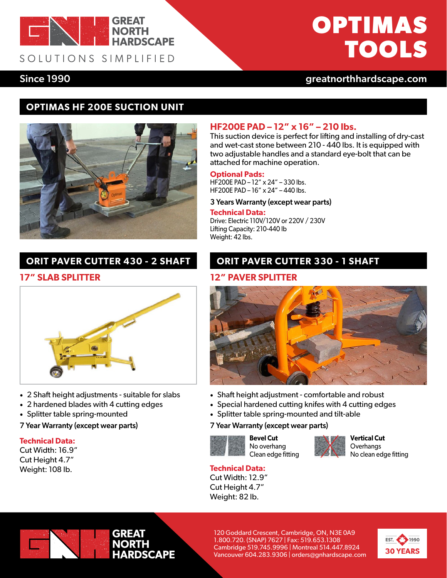

SOLUTIONS SIMPLIFIED

# **OPTIMAS TOOLS**

Since 1990 [greatnorthhardscape.com](https://greatnorthhardscape.com)

# **OPTIMAS HF 200E SUCTION UNIT**



# **ORIT PAVER CUTTER 430 - 2 SHAFT**



- 2 Shaft height adjustments suitable for slabs
- 2 hardened blades with 4 cutting edges
- Splitter table spring-mounted
- 7 Year Warranty (except wear parts)

#### **Technical Data:**

Cut Width: 16.9" Cut Height 4.7" Weight: 108 lb.

## **HF200E PAD – 12" x 16" – 210 lbs.**

This suction device is perfect for lifting and installing of dry-cast and wet-cast stone between 210 - 440 lbs. It is equipped with two adjustable handles and a standard eye-bolt that can be attached for machine operation.

### **Optional Pads:**

HF200E PAD – 12" x 24" – 330 lbs. HF200E PAD – 16" x 24" – 440 lbs.

#### 3 Years Warranty (except wear parts)

#### **Technical Data:**

Drive: Electric 110V/120V or 220V / 230V Lifting Capacity: 210-440 lb Weight: 42 lbs.

## **ORIT PAVER CUTTER 330 - 1 SHAFT**

### **17" SLAB SPLITTER 12" PAVER SPLITTER**



- Shaft height adjustment comfortable and robust
- Special hardened cutting knifes with 4 cutting edges
- Splitter table spring-mounted and tilt-able

### 7 Year Warranty (except wear parts)



**Bevel Cut** No overhang Clean edge fitting



**Vertical Cut Overhangs** No clean edge fitting

**Technical Data:** Cut Width: 12.9" Cut Height 4.7" Weight: 82 lb.



120 Goddard Crescent, Cambridge, ON, N3E 0A9 1.800.720. (SNAP) 7627 | Fax: 519.653.1308 Cambridge 519.745.9996 | Montreal 514.447.8924 Vancouver 604.283.9306 | orders@gnhardscape.com